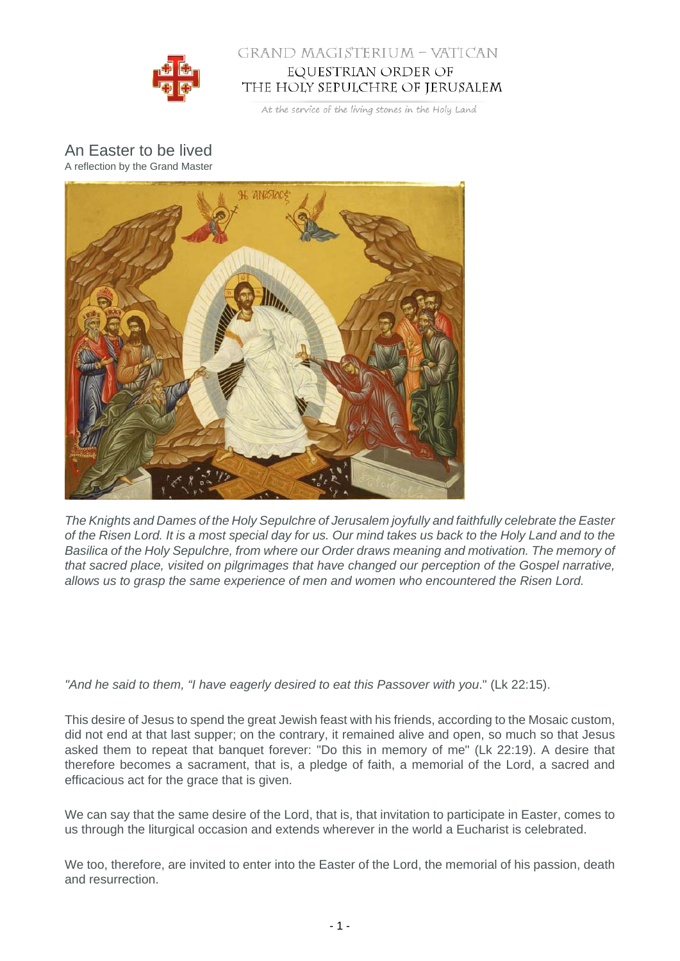

## GRAND MAGISTERIUM - VATICAN EQUESTRIAN ORDER OF THE HOLY SEPULCHRE OF JERUSALEM

At the service of the living stones in the Holy Land

## An Easter to be lived A reflection by the Grand Master



The Knights and Dames of the Holy Sepulchre of Jerusalem joyfully and faithfully celebrate the Easter of the Risen Lord. It is a most special day for us. Our mind takes us back to the Holy Land and to the Basilica of the Holy Sepulchre, from where our Order draws meaning and motivation. The memory of that sacred place, visited on pilgrimages that have changed our perception of the Gospel narrative, allows us to grasp the same experience of men and women who encountered the Risen Lord.

"And he said to them, "I have eagerly desired to eat this Passover with you." (Lk 22:15).

This desire of Jesus to spend the great Jewish feast with his friends, according to the Mosaic custom, did not end at that last supper; on the contrary, it remained alive and open, so much so that Jesus asked them to repeat that banquet forever: "Do this in memory of me" (Lk 22:19). A desire that therefore becomes a sacrament, that is, a pledge of faith, a memorial of the Lord, a sacred and efficacious act for the grace that is given.

We can say that the same desire of the Lord, that is, that invitation to participate in Easter, comes to us through the liturgical occasion and extends wherever in the world a Eucharist is celebrated.

We too, therefore, are invited to enter into the Easter of the Lord, the memorial of his passion, death and resurrection.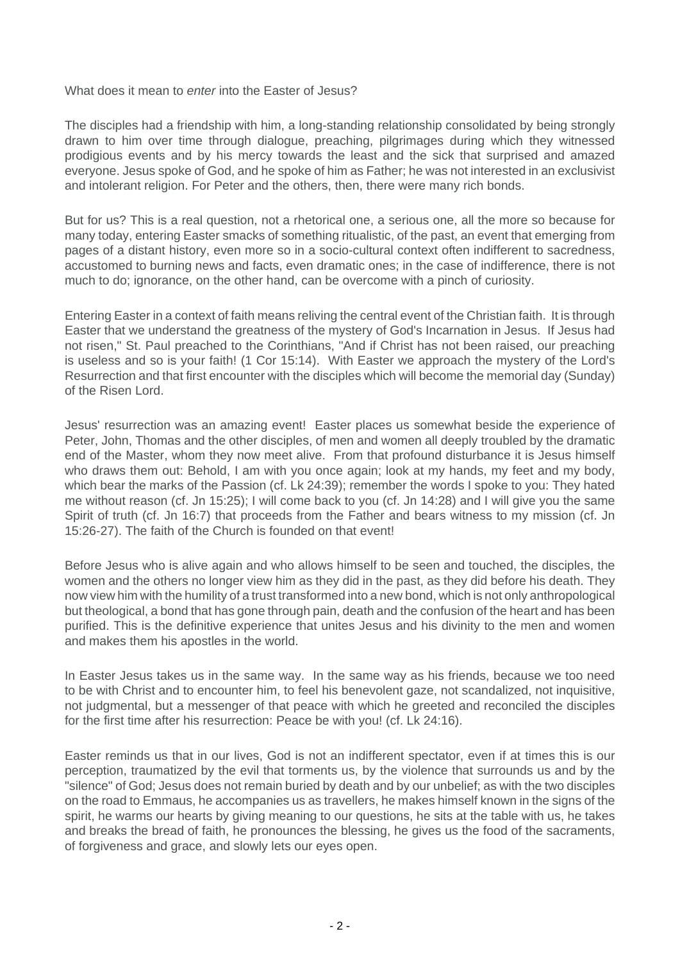What does it mean to enter into the Easter of Jesus?

The disciples had a friendship with him, a long-standing relationship consolidated by being strongly drawn to him over time through dialogue, preaching, pilgrimages during which they witnessed prodigious events and by his mercy towards the least and the sick that surprised and amazed everyone. Jesus spoke of God, and he spoke of him as Father; he was not interested in an exclusivist and intolerant religion. For Peter and the others, then, there were many rich bonds.

But for us? This is a real question, not a rhetorical one, a serious one, all the more so because for many today, entering Easter smacks of something ritualistic, of the past, an event that emerging from pages of a distant history, even more so in a socio-cultural context often indifferent to sacredness, accustomed to burning news and facts, even dramatic ones; in the case of indifference, there is not much to do; ignorance, on the other hand, can be overcome with a pinch of curiosity.

Entering Easter in a context of faith means reliving the central event of the Christian faith. It is through Easter that we understand the greatness of the mystery of God's Incarnation in Jesus. If Jesus had not risen," St. Paul preached to the Corinthians, "And if Christ has not been raised, our preaching is useless and so is your faith! (1 Cor 15:14). With Easter we approach the mystery of the Lord's Resurrection and that first encounter with the disciples which will become the memorial day (Sunday) of the Risen Lord.

Jesus' resurrection was an amazing event! Easter places us somewhat beside the experience of Peter, John, Thomas and the other disciples, of men and women all deeply troubled by the dramatic end of the Master, whom they now meet alive. From that profound disturbance it is Jesus himself who draws them out: Behold, I am with you once again; look at my hands, my feet and my body, which bear the marks of the Passion (cf. Lk 24:39); remember the words I spoke to you: They hated me without reason (cf. Jn 15:25); I will come back to you (cf. Jn 14:28) and I will give you the same Spirit of truth (cf. Jn 16:7) that proceeds from the Father and bears witness to my mission (cf. Jn 15:26-27). The faith of the Church is founded on that event!

Before Jesus who is alive again and who allows himself to be seen and touched, the disciples, the women and the others no longer view him as they did in the past, as they did before his death. They now view him with the humility of a trust transformed into a new bond, which is not only anthropological but theological, a bond that has gone through pain, death and the confusion of the heart and has been purified. This is the definitive experience that unites Jesus and his divinity to the men and women and makes them his apostles in the world.

In Easter Jesus takes us in the same way. In the same way as his friends, because we too need to be with Christ and to encounter him, to feel his benevolent gaze, not scandalized, not inquisitive, not judgmental, but a messenger of that peace with which he greeted and reconciled the disciples for the first time after his resurrection: Peace be with you! (cf. Lk 24:16).

Easter reminds us that in our lives, God is not an indifferent spectator, even if at times this is our perception, traumatized by the evil that torments us, by the violence that surrounds us and by the "silence" of God; Jesus does not remain buried by death and by our unbelief; as with the two disciples on the road to Emmaus, he accompanies us as travellers, he makes himself known in the signs of the spirit, he warms our hearts by giving meaning to our questions, he sits at the table with us, he takes and breaks the bread of faith, he pronounces the blessing, he gives us the food of the sacraments, of forgiveness and grace, and slowly lets our eyes open.